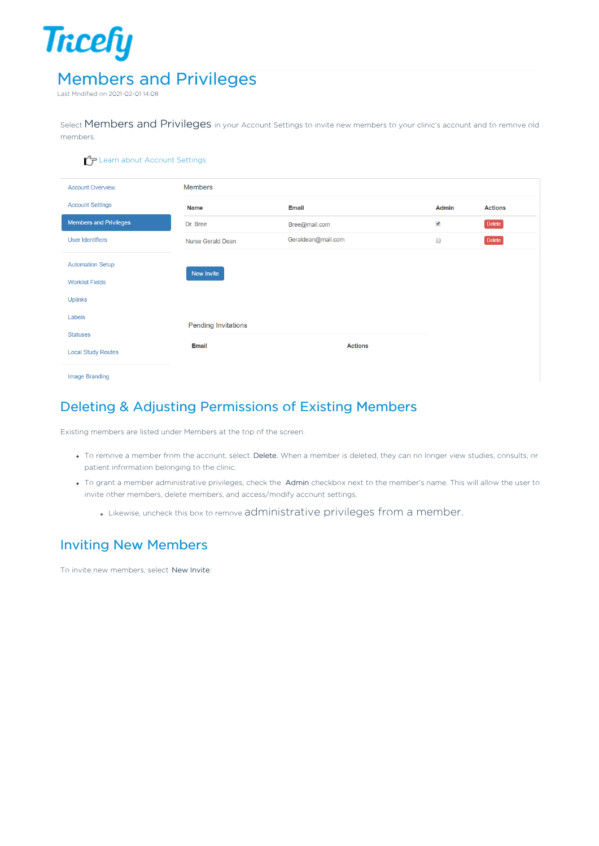

Last Modified on 2021-02-01 14:08

Select Members and Privileges in your Account Settings to invite new members to your clinic's account and to remove old members.

| $\mathcal{L}_{\mathcal{F}}$ Learn about Account Settings |                            |                    |                      |                |
|----------------------------------------------------------|----------------------------|--------------------|----------------------|----------------|
| <b>Account Overview</b>                                  | <b>Members</b>             |                    |                      |                |
| <b>Account Settings</b>                                  | <b>Name</b>                | <b>Email</b>       | Admin                | <b>Actions</b> |
| <b>Members and Privileges</b>                            | Dr. Bree                   | Bree@mail.com      | $\blacktriangledown$ | Delete         |
| <b>User Identifiers</b>                                  | Nurse Gerald Dean          | Geraldean@mail.com | $\Box$               | Delete         |
| <b>Automation Setup</b><br><b>Worklist Fields</b>        | New Invite                 |                    |                      |                |
| <b>Uplinks</b>                                           |                            |                    |                      |                |
| Labels                                                   | <b>Pending Invitations</b> |                    |                      |                |
| <b>Statuses</b>                                          |                            |                    |                      |                |
| <b>Local Study Routes</b>                                | <b>Email</b>               | <b>Actions</b>     |                      |                |
| Image Branding                                           |                            |                    |                      |                |

## Deleting & Adjusting Permissions of Existing Members

Existing members are listed under Members at the top of the screen.

- To remove a member from the account, select Delete. When a member is deleted, they can no longer view studies, consults, or patient information belonging to the clinic.
- . To grant a member administrative privileges, check the Admin checkbox next to the member's name. This will allow the user to invite other members, delete members, and access/modify account settings.
	- Likewise, uncheck this box to remove administrative privileges from a member.

## Inviting New Members

To invite new members, select New Invite: